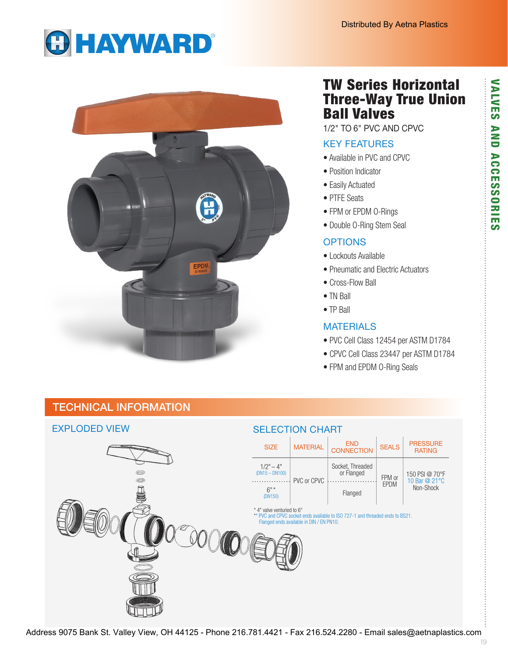# **GHAYWARD®**



# TW Series Horizontal Three-Way True Union Ball Valves

1/2" TO 6" PVC AND CPVC

### KEY FEATURES

- Available in PVC and CPVC
- Position Indicator
- Easily Actuated
- PTFE Seats
- FPM or EPDM O-Rings
- Double O-Ring Stem Seal

### **OPTIONS**

- Lockouts Available
- Pneumatic and Electric Actuators
- Cross-Flow Ball
- TN Ball
- TP Ball

#### **MATERIALS**

- PVC Cell Class 12454 per ASTM D1784
- CPVC Cell Class 23447 per ASTM D1784
- FPM and EPDM O-Ring Seals

**VALVES** 

## TECHNICAL INFORMATION